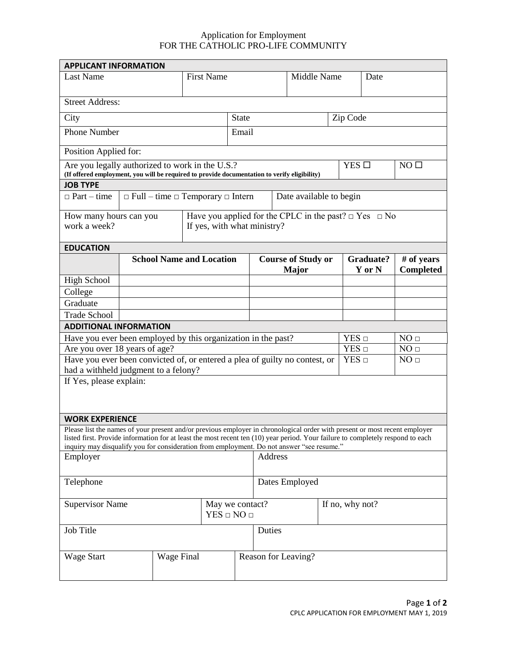## Application for Employment FOR THE CATHOLIC PRO-LIFE COMMUNITY

| <b>APPLICANT INFORMATION</b>                                                                                                                                                                                                                                  |                                                                              |            |                             |                                                                 |  |  |                           |                                  |                  |                 |  |
|---------------------------------------------------------------------------------------------------------------------------------------------------------------------------------------------------------------------------------------------------------------|------------------------------------------------------------------------------|------------|-----------------------------|-----------------------------------------------------------------|--|--|---------------------------|----------------------------------|------------------|-----------------|--|
| <b>Last Name</b>                                                                                                                                                                                                                                              |                                                                              |            |                             | <b>First Name</b>                                               |  |  | Middle Name               |                                  | Date             |                 |  |
|                                                                                                                                                                                                                                                               |                                                                              |            |                             |                                                                 |  |  |                           |                                  |                  |                 |  |
| <b>Street Address:</b>                                                                                                                                                                                                                                        |                                                                              |            |                             |                                                                 |  |  |                           |                                  |                  |                 |  |
| City                                                                                                                                                                                                                                                          |                                                                              |            |                             | <b>State</b>                                                    |  |  |                           |                                  | Zip Code         |                 |  |
| <b>Phone Number</b>                                                                                                                                                                                                                                           |                                                                              |            |                             | Email                                                           |  |  |                           |                                  |                  |                 |  |
|                                                                                                                                                                                                                                                               |                                                                              |            |                             |                                                                 |  |  |                           |                                  |                  |                 |  |
| Position Applied for:                                                                                                                                                                                                                                         |                                                                              |            |                             |                                                                 |  |  |                           |                                  |                  |                 |  |
| Are you legally authorized to work in the U.S.?                                                                                                                                                                                                               |                                                                              |            |                             |                                                                 |  |  |                           | YES $\square$<br>NO <sub>1</sub> |                  |                 |  |
| (If offered employment, you will be required to provide documentation to verify eligibility)<br><b>JOB TYPE</b>                                                                                                                                               |                                                                              |            |                             |                                                                 |  |  |                           |                                  |                  |                 |  |
| $\Box$ Part – time                                                                                                                                                                                                                                            |                                                                              |            |                             |                                                                 |  |  |                           |                                  |                  |                 |  |
|                                                                                                                                                                                                                                                               | $\Box$ Full – time $\Box$ Temporary $\Box$ Intern<br>Date available to begin |            |                             |                                                                 |  |  |                           |                                  |                  |                 |  |
| How many hours can you                                                                                                                                                                                                                                        |                                                                              |            |                             | Have you applied for the CPLC in the past? $\Box$ Yes $\Box$ No |  |  |                           |                                  |                  |                 |  |
| work a week?                                                                                                                                                                                                                                                  |                                                                              |            | If yes, with what ministry? |                                                                 |  |  |                           |                                  |                  |                 |  |
|                                                                                                                                                                                                                                                               |                                                                              |            |                             |                                                                 |  |  |                           |                                  |                  |                 |  |
| <b>EDUCATION</b>                                                                                                                                                                                                                                              |                                                                              |            |                             |                                                                 |  |  | <b>Course of Study or</b> |                                  | <b>Graduate?</b> | # of years      |  |
|                                                                                                                                                                                                                                                               | <b>School Name and Location</b>                                              |            |                             |                                                                 |  |  | <b>Major</b>              |                                  | Y or N           | Completed       |  |
| <b>High School</b>                                                                                                                                                                                                                                            |                                                                              |            |                             |                                                                 |  |  |                           |                                  |                  |                 |  |
| College                                                                                                                                                                                                                                                       |                                                                              |            |                             |                                                                 |  |  |                           |                                  |                  |                 |  |
| Graduate                                                                                                                                                                                                                                                      |                                                                              |            |                             |                                                                 |  |  |                           |                                  |                  |                 |  |
| <b>Trade School</b>                                                                                                                                                                                                                                           |                                                                              |            |                             |                                                                 |  |  |                           |                                  |                  |                 |  |
| <b>ADDITIONAL INFORMATION</b>                                                                                                                                                                                                                                 |                                                                              |            |                             |                                                                 |  |  |                           |                                  |                  |                 |  |
| Have you ever been employed by this organization in the past?                                                                                                                                                                                                 |                                                                              |            |                             |                                                                 |  |  |                           | $YES \Box$                       |                  | NO <sub>□</sub> |  |
| Are you over 18 years of age?                                                                                                                                                                                                                                 |                                                                              |            |                             |                                                                 |  |  |                           | $YES \Box$                       |                  | NO <sub>□</sub> |  |
| Have you ever been convicted of, or entered a plea of guilty no contest, or                                                                                                                                                                                   |                                                                              |            |                             |                                                                 |  |  |                           | $YES \Box$                       |                  | NO <sub>□</sub> |  |
| had a withheld judgment to a felony?<br>If Yes, please explain:                                                                                                                                                                                               |                                                                              |            |                             |                                                                 |  |  |                           |                                  |                  |                 |  |
|                                                                                                                                                                                                                                                               |                                                                              |            |                             |                                                                 |  |  |                           |                                  |                  |                 |  |
|                                                                                                                                                                                                                                                               |                                                                              |            |                             |                                                                 |  |  |                           |                                  |                  |                 |  |
|                                                                                                                                                                                                                                                               |                                                                              |            |                             |                                                                 |  |  |                           |                                  |                  |                 |  |
| <b>WORK EXPERIENCE</b>                                                                                                                                                                                                                                        |                                                                              |            |                             |                                                                 |  |  |                           |                                  |                  |                 |  |
| Please list the names of your present and/or previous employer in chronological order with present or most recent employer<br>listed first. Provide information for at least the most recent ten (10) year period. Your failure to completely respond to each |                                                                              |            |                             |                                                                 |  |  |                           |                                  |                  |                 |  |
| inquiry may disqualify you for consideration from employment. Do not answer "see resume."<br>Address                                                                                                                                                          |                                                                              |            |                             |                                                                 |  |  |                           |                                  |                  |                 |  |
| Employer                                                                                                                                                                                                                                                      |                                                                              |            |                             |                                                                 |  |  |                           |                                  |                  |                 |  |
|                                                                                                                                                                                                                                                               |                                                                              |            |                             |                                                                 |  |  |                           |                                  |                  |                 |  |
| Telephone                                                                                                                                                                                                                                                     |                                                                              |            |                             | Dates Employed                                                  |  |  |                           |                                  |                  |                 |  |
| <b>Supervisor Name</b>                                                                                                                                                                                                                                        |                                                                              |            |                             | May we contact?                                                 |  |  | If no, why not?           |                                  |                  |                 |  |
|                                                                                                                                                                                                                                                               |                                                                              |            |                             | $YES \square NO \square$                                        |  |  |                           |                                  |                  |                 |  |
| Job Title<br>Duties                                                                                                                                                                                                                                           |                                                                              |            |                             |                                                                 |  |  |                           |                                  |                  |                 |  |
|                                                                                                                                                                                                                                                               |                                                                              |            |                             |                                                                 |  |  |                           |                                  |                  |                 |  |
|                                                                                                                                                                                                                                                               |                                                                              |            |                             |                                                                 |  |  |                           |                                  |                  |                 |  |
| <b>Wage Start</b>                                                                                                                                                                                                                                             |                                                                              | Wage Final |                             |                                                                 |  |  | Reason for Leaving?       |                                  |                  |                 |  |
|                                                                                                                                                                                                                                                               |                                                                              |            |                             |                                                                 |  |  |                           |                                  |                  |                 |  |